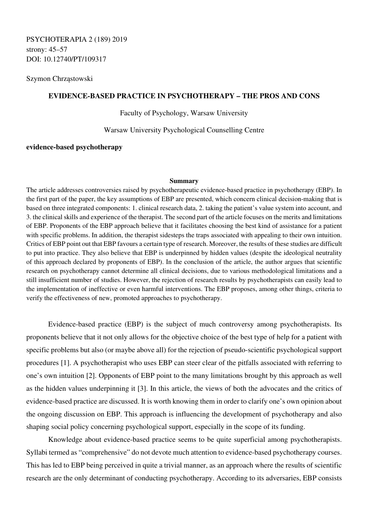Szymon Chrząstowski

# **EVIDENCE-BASED PRACTICE IN PSYCHOTHERAPY – THE PROS AND CONS**

Faculty of Psychology, Warsaw University

Warsaw University Psychological Counselling Centre

## **evidence-based psychotherapy**

#### **Summary**

The article addresses controversies raised by psychotherapeutic evidence-based practice in psychotherapy (EBP). In the first part of the paper, the key assumptions of EBP are presented, which concern clinical decision-making that is based on three integrated components: 1. clinical research data, 2. taking the patient's value system into account, and 3. the clinical skills and experience of the therapist. The second part of the article focuses on the merits and limitations of EBP. Proponents of the EBP approach believe that it facilitates choosing the best kind of assistance for a patient with specific problems. In addition, the therapist sidesteps the traps associated with appealing to their own intuition. Critics of EBP point out that EBP favours a certain type of research. Moreover, the results of these studies are difficult to put into practice. They also believe that EBP is underpinned by hidden values (despite the ideological neutrality of this approach declared by proponents of EBP). In the conclusion of the article, the author argues that scientific research on psychotherapy cannot determine all clinical decisions, due to various methodological limitations and a still insufficient number of studies. However, the rejection of research results by psychotherapists can easily lead to the implementation of ineffective or even harmful interventions. The EBP proposes, among other things, criteria to verify the effectiveness of new, promoted approaches to psychotherapy.

Evidence-based practice (EBP) is the subject of much controversy among psychotherapists. Its proponents believe that it not only allows for the objective choice of the best type of help for a patient with specific problems but also (or maybe above all) for the rejection of pseudo-scientific psychological support procedures [1]. A psychotherapist who uses EBP can steer clear of the pitfalls associated with referring to one's own intuition [2]. Opponents of EBP point to the many limitations brought by this approach as well as the hidden values underpinning it [3]. In this article, the views of both the advocates and the critics of evidence-based practice are discussed. It is worth knowing them in order to clarify one's own opinion about the ongoing discussion on EBP. This approach is influencing the development of psychotherapy and also shaping social policy concerning psychological support, especially in the scope of its funding.

Knowledge about evidence-based practice seems to be quite superficial among psychotherapists. Syllabi termed as "comprehensive" do not devote much attention to evidence-based psychotherapy courses. This has led to EBP being perceived in quite a trivial manner, as an approach where the results of scientific research are the only determinant of conducting psychotherapy. According to its adversaries, EBP consists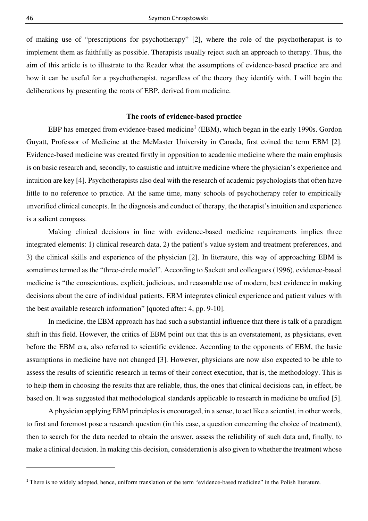of making use of "prescriptions for psychotherapy" [2], where the role of the psychotherapist is to implement them as faithfully as possible. Therapists usually reject such an approach to therapy. Thus, the aim of this article is to illustrate to the Reader what the assumptions of evidence-based practice are and how it can be useful for a psychotherapist, regardless of the theory they identify with. I will begin the deliberations by presenting the roots of EBP, derived from medicine.

### **The roots of evidence-based practice**

EBP has emerged from evidence-based medicine<sup>1</sup> (EBM), which began in the early 1990s. Gordon Guyatt, Professor of Medicine at the McMaster University in Canada, first coined the term EBM [2]. Evidence-based medicine was created firstly in opposition to academic medicine where the main emphasis is on basic research and, secondly, to casuistic and intuitive medicine where the physician's experience and intuition are key [4]. Psychotherapists also deal with the research of academic psychologists that often have little to no reference to practice. At the same time, many schools of psychotherapy refer to empirically unverified clinical concepts. In the diagnosis and conduct of therapy, the therapist's intuition and experience is a salient compass.

Making clinical decisions in line with evidence-based medicine requirements implies three integrated elements: 1) clinical research data, 2) the patient's value system and treatment preferences, and 3) the clinical skills and experience of the physician [2]. In literature, this way of approaching EBM is sometimes termed as the "three-circle model". According to Sackett and colleagues (1996), evidence-based medicine is "the conscientious, explicit, judicious, and reasonable use of modern, best evidence in making decisions about the care of individual patients. EBM integrates clinical experience and patient values with the best available research information" [quoted after: 4, pp. 9-10].

In medicine, the EBM approach has had such a substantial influence that there is talk of a paradigm shift in this field. However, the critics of EBM point out that this is an overstatement, as physicians, even before the EBM era, also referred to scientific evidence. According to the opponents of EBM, the basic assumptions in medicine have not changed [3]. However, physicians are now also expected to be able to assess the results of scientific research in terms of their correct execution, that is, the methodology. This is to help them in choosing the results that are reliable, thus, the ones that clinical decisions can, in effect, be based on. It was suggested that methodological standards applicable to research in medicine be unified [5].

A physician applying EBM principles is encouraged, in a sense, to act like a scientist, in other words, to first and foremost pose a research question (in this case, a question concerning the choice of treatment), then to search for the data needed to obtain the answer, assess the reliability of such data and, finally, to make a clinical decision. In making this decision, consideration is also given to whether the treatment whose

<sup>1</sup> There is no widely adopted, hence, uniform translation of the term "evidence-based medicine" in the Polish literature*.*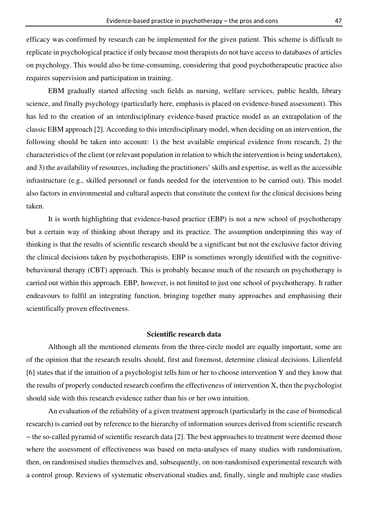efficacy was confirmed by research can be implemented for the given patient. This scheme is difficult to replicate in psychological practice if only because most therapists do not have access to databases of articles on psychology. This would also be time-consuming, considering that good psychotherapeutic practice also requires supervision and participation in training.

EBM gradually started affecting such fields as nursing, welfare services, public health, library science, and finally psychology (particularly here, emphasis is placed on evidence-based assessment). This has led to the creation of an interdisciplinary evidence-based practice model as an extrapolation of the classic EBM approach [2]. According to this interdisciplinary model, when deciding on an intervention, the following should be taken into account: 1) the best available empirical evidence from research, 2) the characteristics of the client (or relevant population in relation to which the intervention is being undertaken), and 3) the availability of resources, including the practitioners' skills and expertise, as well as the accessible infrastructure (e.g., skilled personnel or funds needed for the intervention to be carried out). This model also factors in environmental and cultural aspects that constitute the context for the clinical decisions being taken.

It is worth highlighting that evidence-based practice (EBP) is not a new school of psychotherapy but a certain way of thinking about therapy and its practice. The assumption underpinning this way of thinking is that the results of scientific research should be a significant but not the exclusive factor driving the clinical decisions taken by psychotherapists. EBP is sometimes wrongly identified with the cognitivebehavioural therapy (CBT) approach. This is probably because much of the research on psychotherapy is carried out within this approach. EBP, however, is not limited to just one school of psychotherapy. It rather endeavours to fulfil an integrating function, bringing together many approaches and emphasising their scientifically proven effectiveness.

#### **Scientific research data**

Although all the mentioned elements from the three-circle model are equally important, some are of the opinion that the research results should, first and foremost, determine clinical decisions. Lilienfeld [6] states that if the intuition of a psychologist tells him or her to choose intervention Y and they know that the results of properly conducted research confirm the effectiveness of intervention X, then the psychologist should side with this research evidence rather than his or her own intuition.

An evaluation of the reliability of a given treatment approach (particularly in the case of biomedical research) is carried out by reference to the hierarchy of information sources derived from scientific research − the so-called pyramid of scientific research data [2]. The best approaches to treatment were deemed those where the assessment of effectiveness was based on meta-analyses of many studies with randomisation, then, on randomised studies themselves and, subsequently, on non-randomised experimental research with a control group. Reviews of systematic observational studies and, finally, single and multiple case studies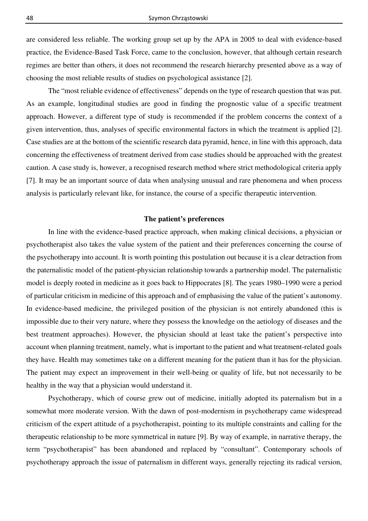are considered less reliable. The working group set up by the APA in 2005 to deal with evidence-based practice, the Evidence-Based Task Force, came to the conclusion, however, that although certain research regimes are better than others, it does not recommend the research hierarchy presented above as a way of choosing the most reliable results of studies on psychological assistance [2].

The "most reliable evidence of effectiveness" depends on the type of research question that was put. As an example, longitudinal studies are good in finding the prognostic value of a specific treatment approach. However, a different type of study is recommended if the problem concerns the context of a given intervention, thus, analyses of specific environmental factors in which the treatment is applied [2]. Case studies are at the bottom of the scientific research data pyramid, hence, in line with this approach, data concerning the effectiveness of treatment derived from case studies should be approached with the greatest caution. A case study is, however, a recognised research method where strict methodological criteria apply [7]. It may be an important source of data when analysing unusual and rare phenomena and when process analysis is particularly relevant like, for instance, the course of a specific therapeutic intervention.

### **The patient's preferences**

In line with the evidence-based practice approach, when making clinical decisions, a physician or psychotherapist also takes the value system of the patient and their preferences concerning the course of the psychotherapy into account. It is worth pointing this postulation out because it is a clear detraction from the paternalistic model of the patient-physician relationship towards a partnership model. The paternalistic model is deeply rooted in medicine as it goes back to Hippocrates [8]. The years 1980–1990 were a period of particular criticism in medicine of this approach and of emphasising the value of the patient's autonomy. In evidence-based medicine, the privileged position of the physician is not entirely abandoned (this is impossible due to their very nature, where they possess the knowledge on the aetiology of diseases and the best treatment approaches). However, the physician should at least take the patient's perspective into account when planning treatment, namely, what is important to the patient and what treatment-related goals they have. Health may sometimes take on a different meaning for the patient than it has for the physician. The patient may expect an improvement in their well-being or quality of life, but not necessarily to be healthy in the way that a physician would understand it.

Psychotherapy, which of course grew out of medicine, initially adopted its paternalism but in a somewhat more moderate version. With the dawn of post-modernism in psychotherapy came widespread criticism of the expert attitude of a psychotherapist, pointing to its multiple constraints and calling for the therapeutic relationship to be more symmetrical in nature [9]. By way of example, in narrative therapy, the term "psychotherapist" has been abandoned and replaced by "consultant". Contemporary schools of psychotherapy approach the issue of paternalism in different ways, generally rejecting its radical version,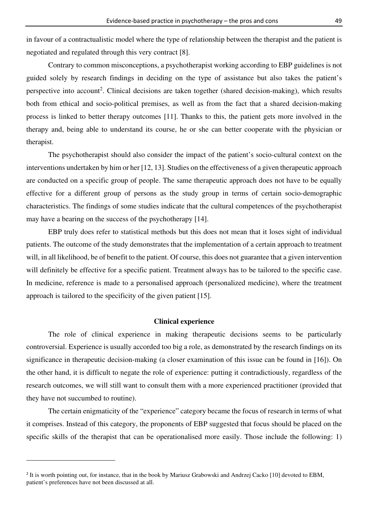in favour of a contractualistic model where the type of relationship between the therapist and the patient is negotiated and regulated through this very contract [8].

Contrary to common misconceptions, a psychotherapist working according to EBP guidelines is not guided solely by research findings in deciding on the type of assistance but also takes the patient's perspective into account<sup>2</sup>. Clinical decisions are taken together (shared decision-making), which results both from ethical and socio-political premises, as well as from the fact that a shared decision-making process is linked to better therapy outcomes [11]. Thanks to this, the patient gets more involved in the therapy and, being able to understand its course, he or she can better cooperate with the physician or therapist.

The psychotherapist should also consider the impact of the patient's socio-cultural context on the interventions undertaken by him or her [12, 13]. Studies on the effectiveness of a given therapeutic approach are conducted on a specific group of people. The same therapeutic approach does not have to be equally effective for a different group of persons as the study group in terms of certain socio-demographic characteristics. The findings of some studies indicate that the cultural competences of the psychotherapist may have a bearing on the success of the psychotherapy [14].

EBP truly does refer to statistical methods but this does not mean that it loses sight of individual patients. The outcome of the study demonstrates that the implementation of a certain approach to treatment will, in all likelihood, be of benefit to the patient. Of course, this does not guarantee that a given intervention will definitely be effective for a specific patient. Treatment always has to be tailored to the specific case. In medicine, reference is made to a personalised approach (personalized medicine), where the treatment approach is tailored to the specificity of the given patient [15].

### **Clinical experience**

The role of clinical experience in making therapeutic decisions seems to be particularly controversial. Experience is usually accorded too big a role, as demonstrated by the research findings on its significance in therapeutic decision-making (a closer examination of this issue can be found in [16]). On the other hand, it is difficult to negate the role of experience: putting it contradictiously, regardless of the research outcomes, we will still want to consult them with a more experienced practitioner (provided that they have not succumbed to routine).

The certain enigmaticity of the "experience" category became the focus of research in terms of what it comprises. Instead of this category, the proponents of EBP suggested that focus should be placed on the specific skills of the therapist that can be operationalised more easily. Those include the following: 1)

<sup>&</sup>lt;sup>2</sup> It is worth pointing out, for instance, that in the book by Mariusz Grabowski and Andrzej Cacko [10] devoted to EBM, patient's preferences have not been discussed at all.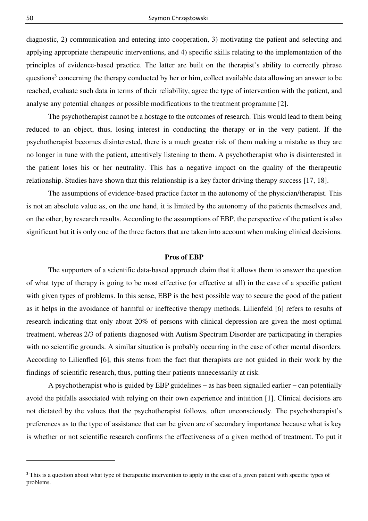diagnostic, 2) communication and entering into cooperation, 3) motivating the patient and selecting and applying appropriate therapeutic interventions, and 4) specific skills relating to the implementation of the principles of evidence-based practice. The latter are built on the therapist's ability to correctly phrase questions<sup>3</sup> concerning the therapy conducted by her or him, collect available data allowing an answer to be reached, evaluate such data in terms of their reliability, agree the type of intervention with the patient, and analyse any potential changes or possible modifications to the treatment programme [2].

The psychotherapist cannot be a hostage to the outcomes of research. This would lead to them being reduced to an object, thus, losing interest in conducting the therapy or in the very patient. If the psychotherapist becomes disinterested, there is a much greater risk of them making a mistake as they are no longer in tune with the patient, attentively listening to them. A psychotherapist who is disinterested in the patient loses his or her neutrality. This has a negative impact on the quality of the therapeutic relationship. Studies have shown that this relationship is a key factor driving therapy success [17, 18].

The assumptions of evidence-based practice factor in the autonomy of the physician/therapist. This is not an absolute value as, on the one hand, it is limited by the autonomy of the patients themselves and, on the other, by research results. According to the assumptions of EBP, the perspective of the patient is also significant but it is only one of the three factors that are taken into account when making clinical decisions.

### **Pros of EBP**

The supporters of a scientific data-based approach claim that it allows them to answer the question of what type of therapy is going to be most effective (or effective at all) in the case of a specific patient with given types of problems. In this sense, EBP is the best possible way to secure the good of the patient as it helps in the avoidance of harmful or ineffective therapy methods. Lilienfeld [6] refers to results of research indicating that only about 20% of persons with clinical depression are given the most optimal treatment, whereas 2/3 of patients diagnosed with Autism Spectrum Disorder are participating in therapies with no scientific grounds. A similar situation is probably occurring in the case of other mental disorders. According to Lilienfled [6], this stems from the fact that therapists are not guided in their work by the findings of scientific research, thus, putting their patients unnecessarily at risk.

A psychotherapist who is guided by EBP guidelines − as has been signalled earlier − can potentially avoid the pitfalls associated with relying on their own experience and intuition [1]. Clinical decisions are not dictated by the values that the psychotherapist follows, often unconsciously. The psychotherapist's preferences as to the type of assistance that can be given are of secondary importance because what is key is whether or not scientific research confirms the effectiveness of a given method of treatment. To put it

<sup>&</sup>lt;sup>3</sup> This is a question about what type of therapeutic intervention to apply in the case of a given patient with specific types of problems.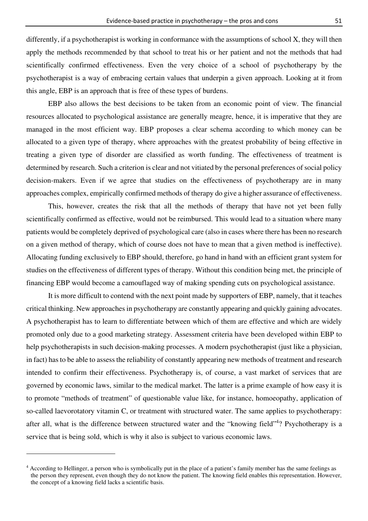differently, if a psychotherapist is working in conformance with the assumptions of school X, they will then apply the methods recommended by that school to treat his or her patient and not the methods that had scientifically confirmed effectiveness. Even the very choice of a school of psychotherapy by the psychotherapist is a way of embracing certain values that underpin a given approach. Looking at it from this angle, EBP is an approach that is free of these types of burdens.

EBP also allows the best decisions to be taken from an economic point of view. The financial resources allocated to psychological assistance are generally meagre, hence, it is imperative that they are managed in the most efficient way. EBP proposes a clear schema according to which money can be allocated to a given type of therapy, where approaches with the greatest probability of being effective in treating a given type of disorder are classified as worth funding. The effectiveness of treatment is determined by research. Such a criterion is clear and not vitiated by the personal preferences of social policy decision-makers. Even if we agree that studies on the effectiveness of psychotherapy are in many approaches complex, empirically confirmed methods of therapy do give a higher assurance of effectiveness.

This, however, creates the risk that all the methods of therapy that have not yet been fully scientifically confirmed as effective, would not be reimbursed. This would lead to a situation where many patients would be completely deprived of psychological care (also in cases where there has been no research on a given method of therapy, which of course does not have to mean that a given method is ineffective). Allocating funding exclusively to EBP should, therefore, go hand in hand with an efficient grant system for studies on the effectiveness of different types of therapy. Without this condition being met, the principle of financing EBP would become a camouflaged way of making spending cuts on psychological assistance.

It is more difficult to contend with the next point made by supporters of EBP, namely, that it teaches critical thinking. New approaches in psychotherapy are constantly appearing and quickly gaining advocates. A psychotherapist has to learn to differentiate between which of them are effective and which are widely promoted only due to a good marketing strategy. Assessment criteria have been developed within EBP to help psychotherapists in such decision-making processes. A modern psychotherapist (just like a physician, in fact) has to be able to assess the reliability of constantly appearing new methods of treatment and research intended to confirm their effectiveness. Psychotherapy is, of course, a vast market of services that are governed by economic laws, similar to the medical market. The latter is a prime example of how easy it is to promote "methods of treatment" of questionable value like, for instance, homoeopathy, application of so-called laevorotatory vitamin C, or treatment with structured water. The same applies to psychotherapy: after all, what is the difference between structured water and the "knowing field"<sup>4</sup>? Psychotherapy is a service that is being sold, which is why it also is subject to various economic laws.

<sup>4</sup> According to Hellinger, a person who is symbolically put in the place of a patient's family member has the same feelings as the person they represent, even though they do not know the patient. The knowing field enables this representation. However, the concept of a knowing field lacks a scientific basis.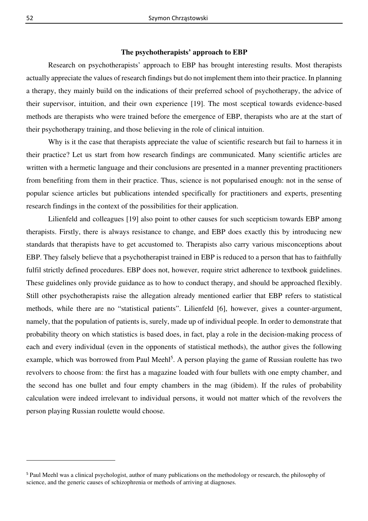### **The psychotherapists' approach to EBP**

Research on psychotherapists' approach to EBP has brought interesting results. Most therapists actually appreciate the values of research findings but do not implement them into their practice. In planning a therapy, they mainly build on the indications of their preferred school of psychotherapy, the advice of their supervisor, intuition, and their own experience [19]. The most sceptical towards evidence-based methods are therapists who were trained before the emergence of EBP, therapists who are at the start of their psychotherapy training, and those believing in the role of clinical intuition.

Why is it the case that therapists appreciate the value of scientific research but fail to harness it in their practice? Let us start from how research findings are communicated. Many scientific articles are written with a hermetic language and their conclusions are presented in a manner preventing practitioners from benefiting from them in their practice. Thus, science is not popularised enough: not in the sense of popular science articles but publications intended specifically for practitioners and experts, presenting research findings in the context of the possibilities for their application.

Lilienfeld and colleagues [19] also point to other causes for such scepticism towards EBP among therapists. Firstly, there is always resistance to change, and EBP does exactly this by introducing new standards that therapists have to get accustomed to. Therapists also carry various misconceptions about EBP. They falsely believe that a psychotherapist trained in EBP is reduced to a person that has to faithfully fulfil strictly defined procedures. EBP does not, however, require strict adherence to textbook guidelines. These guidelines only provide guidance as to how to conduct therapy, and should be approached flexibly. Still other psychotherapists raise the allegation already mentioned earlier that EBP refers to statistical methods, while there are no "statistical patients". Lilienfeld [6], however, gives a counter-argument, namely, that the population of patients is, surely, made up of individual people. In order to demonstrate that probability theory on which statistics is based does, in fact, play a role in the decision-making process of each and every individual (even in the opponents of statistical methods), the author gives the following example, which was borrowed from Paul Meehl<sup>5</sup>. A person playing the game of Russian roulette has two revolvers to choose from: the first has a magazine loaded with four bullets with one empty chamber, and the second has one bullet and four empty chambers in the mag (ibidem). If the rules of probability calculation were indeed irrelevant to individual persons, it would not matter which of the revolvers the person playing Russian roulette would choose.

<sup>5</sup> Paul Meehl was a clinical psychologist, author of many publications on the methodology or research, the philosophy of science, and the generic causes of schizophrenia or methods of arriving at diagnoses.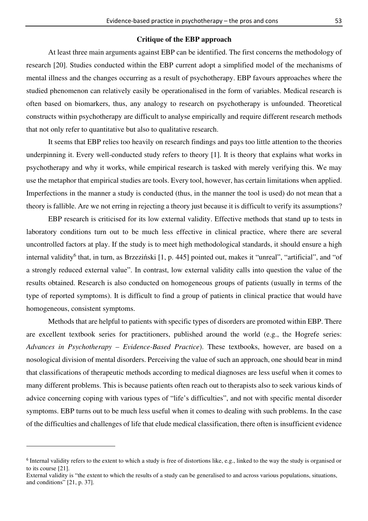### **Critique of the EBP approach**

At least three main arguments against EBP can be identified. The first concerns the methodology of research [20]. Studies conducted within the EBP current adopt a simplified model of the mechanisms of mental illness and the changes occurring as a result of psychotherapy. EBP favours approaches where the studied phenomenon can relatively easily be operationalised in the form of variables. Medical research is often based on biomarkers, thus, any analogy to research on psychotherapy is unfounded. Theoretical constructs within psychotherapy are difficult to analyse empirically and require different research methods that not only refer to quantitative but also to qualitative research.

It seems that EBP relies too heavily on research findings and pays too little attention to the theories underpinning it. Every well-conducted study refers to theory [1]. It is theory that explains what works in psychotherapy and why it works, while empirical research is tasked with merely verifying this. We may use the metaphor that empirical studies are tools. Every tool, however, has certain limitations when applied. Imperfections in the manner a study is conducted (thus, in the manner the tool is used) do not mean that a theory is fallible. Are we not erring in rejecting a theory just because it is difficult to verify its assumptions?

EBP research is criticised for its low external validity. Effective methods that stand up to tests in laboratory conditions turn out to be much less effective in clinical practice, where there are several uncontrolled factors at play. If the study is to meet high methodological standards, it should ensure a high internal validity<sup>6</sup> that, in turn, as Brzeziński [1, p. 445] pointed out, makes it "unreal", "artificial", and "of a strongly reduced external value". In contrast, low external validity calls into question the value of the results obtained. Research is also conducted on homogeneous groups of patients (usually in terms of the type of reported symptoms). It is difficult to find a group of patients in clinical practice that would have homogeneous, consistent symptoms.

Methods that are helpful to patients with specific types of disorders are promoted within EBP. There are excellent textbook series for practitioners, published around the world (e.g., the Hogrefe series: *Advances in Psychotherapy – Evidence-Based Practice*). These textbooks, however, are based on a nosological division of mental disorders. Perceiving the value of such an approach, one should bear in mind that classifications of therapeutic methods according to medical diagnoses are less useful when it comes to many different problems. This is because patients often reach out to therapists also to seek various kinds of advice concerning coping with various types of "life's difficulties", and not with specific mental disorder symptoms. EBP turns out to be much less useful when it comes to dealing with such problems. In the case of the difficulties and challenges of life that elude medical classification, there often is insufficient evidence

<sup>&</sup>lt;sup>6</sup> Internal validity refers to the extent to which a study is free of distortions like, e.g., linked to the way the study is organised or to its course [21].

External validity is "the extent to which the results of a study can be generalised to and across various populations, situations, and conditions" [21, p. 37].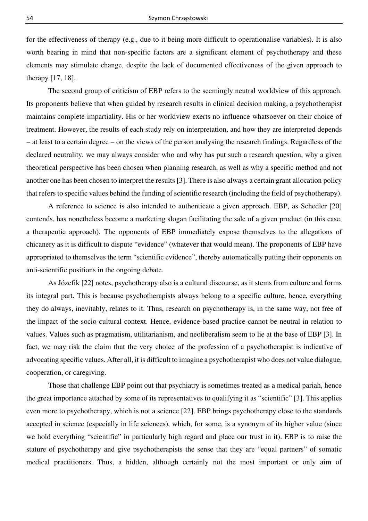for the effectiveness of therapy (e.g., due to it being more difficult to operationalise variables). It is also worth bearing in mind that non-specific factors are a significant element of psychotherapy and these elements may stimulate change, despite the lack of documented effectiveness of the given approach to therapy [17, 18].

The second group of criticism of EBP refers to the seemingly neutral worldview of this approach. Its proponents believe that when guided by research results in clinical decision making, a psychotherapist maintains complete impartiality. His or her worldview exerts no influence whatsoever on their choice of treatment. However, the results of each study rely on interpretation, and how they are interpreted depends − at least to a certain degree − on the views of the person analysing the research findings. Regardless of the declared neutrality, we may always consider who and why has put such a research question, why a given theoretical perspective has been chosen when planning research, as well as why a specific method and not another one has been chosen to interpret the results [3]. There is also always a certain grant allocation policy that refers to specific values behind the funding of scientific research (including the field of psychotherapy).

A reference to science is also intended to authenticate a given approach. EBP, as Schedler [20] contends, has nonetheless become a marketing slogan facilitating the sale of a given product (in this case, a therapeutic approach). The opponents of EBP immediately expose themselves to the allegations of chicanery as it is difficult to dispute "evidence" (whatever that would mean). The proponents of EBP have appropriated to themselves the term "scientific evidence", thereby automatically putting their opponents on anti-scientific positions in the ongoing debate.

As Józefik [22] notes, psychotherapy also is a cultural discourse, as it stems from culture and forms its integral part. This is because psychotherapists always belong to a specific culture, hence, everything they do always, inevitably, relates to it. Thus, research on psychotherapy is, in the same way, not free of the impact of the socio-cultural context. Hence, evidence-based practice cannot be neutral in relation to values. Values such as pragmatism, utilitarianism, and neoliberalism seem to lie at the base of EBP [3]. In fact, we may risk the claim that the very choice of the profession of a psychotherapist is indicative of advocating specific values. After all, it is difficult to imagine a psychotherapist who does not value dialogue, cooperation, or caregiving.

Those that challenge EBP point out that psychiatry is sometimes treated as a medical pariah, hence the great importance attached by some of its representatives to qualifying it as "scientific" [3]. This applies even more to psychotherapy, which is not a science [22]. EBP brings psychotherapy close to the standards accepted in science (especially in life sciences), which, for some, is a synonym of its higher value (since we hold everything "scientific" in particularly high regard and place our trust in it). EBP is to raise the stature of psychotherapy and give psychotherapists the sense that they are "equal partners" of somatic medical practitioners. Thus, a hidden, although certainly not the most important or only aim of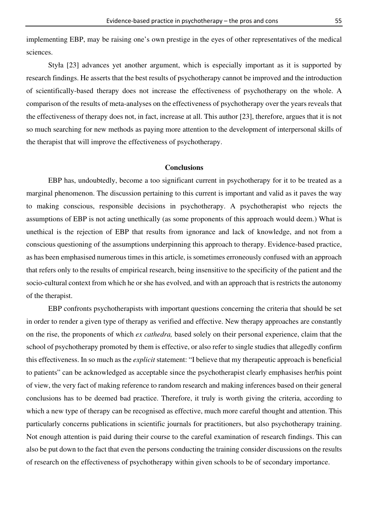implementing EBP, may be raising one's own prestige in the eyes of other representatives of the medical sciences.

Styła [23] advances yet another argument, which is especially important as it is supported by research findings. He asserts that the best results of psychotherapy cannot be improved and the introduction of scientifically-based therapy does not increase the effectiveness of psychotherapy on the whole. A comparison of the results of meta-analyses on the effectiveness of psychotherapy over the years reveals that the effectiveness of therapy does not, in fact, increase at all. This author [23], therefore, argues that it is not so much searching for new methods as paying more attention to the development of interpersonal skills of the therapist that will improve the effectiveness of psychotherapy.

# **Conclusions**

EBP has, undoubtedly, become a too significant current in psychotherapy for it to be treated as a marginal phenomenon. The discussion pertaining to this current is important and valid as it paves the way to making conscious, responsible decisions in psychotherapy. A psychotherapist who rejects the assumptions of EBP is not acting unethically (as some proponents of this approach would deem.) What is unethical is the rejection of EBP that results from ignorance and lack of knowledge, and not from a conscious questioning of the assumptions underpinning this approach to therapy. Evidence-based practice, as has been emphasised numerous times in this article, is sometimes erroneously confused with an approach that refers only to the results of empirical research, being insensitive to the specificity of the patient and the socio-cultural context from which he or she has evolved, and with an approach that is restricts the autonomy of the therapist.

EBP confronts psychotherapists with important questions concerning the criteria that should be set in order to render a given type of therapy as verified and effective. New therapy approaches are constantly on the rise, the proponents of which *ex cathedra,* based solely on their personal experience, claim that the school of psychotherapy promoted by them is effective, or also refer to single studies that allegedly confirm this effectiveness. In so much as the *explicit* statement: "I believe that my therapeutic approach is beneficial to patients" can be acknowledged as acceptable since the psychotherapist clearly emphasises her/his point of view, the very fact of making reference to random research and making inferences based on their general conclusions has to be deemed bad practice. Therefore, it truly is worth giving the criteria, according to which a new type of therapy can be recognised as effective, much more careful thought and attention. This particularly concerns publications in scientific journals for practitioners, but also psychotherapy training. Not enough attention is paid during their course to the careful examination of research findings. This can also be put down to the fact that even the persons conducting the training consider discussions on the results of research on the effectiveness of psychotherapy within given schools to be of secondary importance.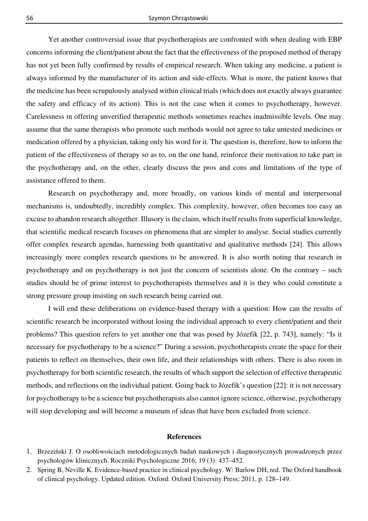Yet another controversial issue that psychotherapists are confronted with when dealing with EBP concerns informing the client/patient about the fact that the effectiveness of the proposed method of therapy has not yet been fully confirmed by results of empirical research. When taking any medicine, a patient is always informed by the manufacturer of its action and side-effects. What is more, the patient knows that the medicine has been scrupulously analysed within clinical trials (which does not exactly always guarantee the safety and efficacy of its action). This is not the case when it comes to psychotherapy, however. Carelessness in offering unverified therapeutic methods sometimes reaches inadmissible levels. One may assume that the same therapists who promote such methods would not agree to take untested medicines or medication offered by a physician, taking only his word for it. The question is, therefore, how to inform the patient of the effectiveness of therapy so as to, on the one hand, reinforce their motivation to take part in the psychotherapy and, on the other, clearly discuss the pros and cons and limitations of the type of assistance offered to them.

Research on psychotherapy and, more broadly, on various kinds of mental and interpersonal mechanisms is, undoubtedly, incredibly complex. This complexity, however, often becomes too easy an excuse to abandon research altogether. Illusory is the claim, which itself results from superficial knowledge, that scientific medical research focuses on phenomena that are simpler to analyse. Social studies currently offer complex research agendas, harnessing both quantitative and qualitative methods [24]. This allows increasingly more complex research questions to be answered. It is also worth noting that research in psychotherapy and on psychotherapy is not just the concern of scientists alone. On the contrary – such studies should be of prime interest to psychotherapists themselves and it is they who could constitute a strong pressure group insisting on such research being carried out.

I will end these deliberations on evidence-based therapy with a question: How can the results of scientific research be incorporated without losing the individual approach to every client/patient and their problems? This question refers to yet another one that was posed by Józefik [22, p. 743], namely: "Is it necessary for psychotherapy to be a science?" During a session, psychotherapists create the space for their patients to reflect on themselves, their own life, and their relationships with others. There is also room in psychotherapy for both scientific research, the results of which support the selection of effective therapeutic methods, and reflections on the individual patient. Going back to Józefik's question [22]: it is not necessary for psychotherapy to be a science but psychotherapists also cannot ignore science, otherwise, psychotherapy will stop developing and will become a museum of ideas that have been excluded from science.

# **References**

- 1. Brzeziński J. O osobliwościach metodologicznych badań naukowych i diagnostycznych prowadzonych przez psychologów klinicznych. Roczniki Psychologiczne 2016; 19 (3): 437–452.
- 2. Spring B, Neville K. Evidence-based practice in clinical psychology. W: Barlow DH, red. The Oxford handbook of clinical psychology. Updated edition. Oxford: Oxford University Press; 2011, p. 128–149.